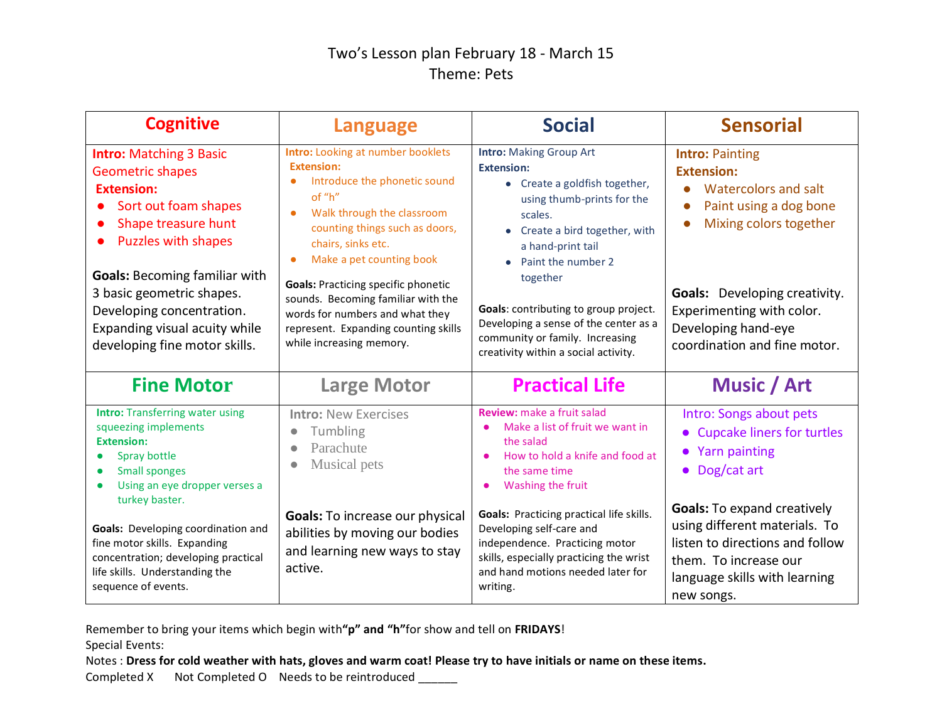## Two's Lesson plan February 18 - March 15 Theme: Pets

| <b>Cognitive</b>                                                                                                                                                                                                                                                                                                                | <b>Language</b>                                                                                                                                                                                                                                                                                                                                                                                                                   | <b>Social</b>                                                                                                                                                                                                                                                                                                                                                                       | <b>Sensorial</b>                                                                                                                                                                                                                                                              |
|---------------------------------------------------------------------------------------------------------------------------------------------------------------------------------------------------------------------------------------------------------------------------------------------------------------------------------|-----------------------------------------------------------------------------------------------------------------------------------------------------------------------------------------------------------------------------------------------------------------------------------------------------------------------------------------------------------------------------------------------------------------------------------|-------------------------------------------------------------------------------------------------------------------------------------------------------------------------------------------------------------------------------------------------------------------------------------------------------------------------------------------------------------------------------------|-------------------------------------------------------------------------------------------------------------------------------------------------------------------------------------------------------------------------------------------------------------------------------|
| <b>Intro: Matching 3 Basic</b><br><b>Geometric shapes</b><br><b>Extension:</b><br>Sort out foam shapes<br>Shape treasure hunt<br><b>Puzzles with shapes</b><br><b>Goals: Becoming familiar with</b><br>3 basic geometric shapes.<br>Developing concentration.<br>Expanding visual acuity while<br>developing fine motor skills. | <b>Intro:</b> Looking at number booklets<br><b>Extension:</b><br>Introduce the phonetic sound<br>of "h"<br>Walk through the classroom<br>counting things such as doors,<br>chairs, sinks etc.<br>Make a pet counting book<br>$\bullet$<br><b>Goals: Practicing specific phonetic</b><br>sounds. Becoming familiar with the<br>words for numbers and what they<br>represent. Expanding counting skills<br>while increasing memory. | <b>Intro: Making Group Art</b><br><b>Extension:</b><br>• Create a goldfish together,<br>using thumb-prints for the<br>scales.<br>• Create a bird together, with<br>a hand-print tail<br>Paint the number 2<br>together<br>Goals: contributing to group project.<br>Developing a sense of the center as a<br>community or family. Increasing<br>creativity within a social activity. | <b>Intro: Painting</b><br><b>Extension:</b><br>Watercolors and salt<br>Paint using a dog bone<br>$\bullet$<br>Mixing colors together<br>$\bullet$<br><b>Goals:</b> Developing creativity.<br>Experimenting with color.<br>Developing hand-eye<br>coordination and fine motor. |
| <b>Fine Motor</b>                                                                                                                                                                                                                                                                                                               | <b>Large Motor</b>                                                                                                                                                                                                                                                                                                                                                                                                                | <b>Practical Life</b>                                                                                                                                                                                                                                                                                                                                                               | Music / Art                                                                                                                                                                                                                                                                   |
| <b>Intro:</b> Transferring water using<br>squeezing implements<br><b>Extension:</b><br>Spray bottle<br><b>Small sponges</b><br>Using an eye dropper verses a                                                                                                                                                                    | <b>Intro: New Exercises</b><br>Tumbling<br>$\bullet$<br>Parachute<br>Musical pets                                                                                                                                                                                                                                                                                                                                                 | <b>Review:</b> make a fruit salad<br>Make a list of fruit we want in<br>the salad<br>How to hold a knife and food at<br>the same time<br>Washing the fruit                                                                                                                                                                                                                          | Intro: Songs about pets<br>• Cupcake liners for turtles<br>• Yarn painting<br>$\bullet$ Dog/cat art                                                                                                                                                                           |
| turkey baster.<br>Goals: Developing coordination and<br>fine motor skills. Expanding<br>concentration; developing practical<br>life skills. Understanding the<br>sequence of events.                                                                                                                                            | <b>Goals:</b> To increase our physical<br>abilities by moving our bodies<br>and learning new ways to stay<br>active.                                                                                                                                                                                                                                                                                                              | <b>Goals: Practicing practical life skills.</b><br>Developing self-care and<br>independence. Practicing motor<br>skills, especially practicing the wrist<br>and hand motions needed later for<br>writing.                                                                                                                                                                           | <b>Goals:</b> To expand creatively<br>using different materials. To<br>listen to directions and follow<br>them. To increase our<br>language skills with learning<br>new songs.                                                                                                |

Remember to bring your items which begin with**"p" and "h"**for show and tell on **FRIDAYS**!

Special Events:

Notes : **Dress for cold weather with hats, gloves and warm coat! Please try to have initials or name on these items.**

Completed X Not Completed O Needs to be reintroduced \_\_\_\_\_\_